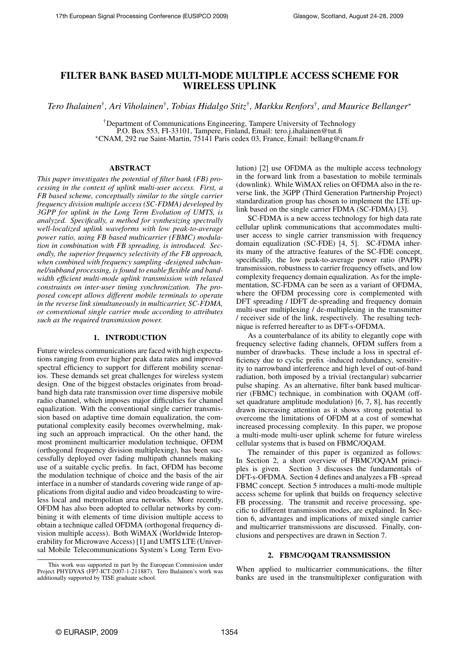# FILTER BANK BASED MULTI-MODE MULTIPLE ACCESS SCHEME FOR WIRELESS UPLINK

*Tero Ihalainen*† *, Ari Viholainen*† *, Tobias Hidalgo Stitz*† *, Markku Renfors*† *, and Maurice Bellanger*?

†Department of Communications Engineering, Tampere University of Technology P.O. Box 553, FI-33101, Tampere, Finland, Email: tero.j.ihalainen@tut.fi ?CNAM, 292 rue Saint-Martin, 75141 Paris cedex 03, France, Email: bellang@cnam.fr

# ABSTRACT

*This paper investigates the potential of filter bank (FB) processing in the context of uplink multi-user access. First, a FB based scheme, conceptually similar to the single carrier frequency division multiple access (SC-FDMA) developed by 3GPP for uplink in the Long Term Evolution of UMTS, is analyzed. Specifically, a method for synthesizing spectrally well-localized uplink waveforms with low peak-to-average power ratio, using FB based multicarrier (FBMC) modulation in combination with FB spreading, is introduced. Secondly, the superior frequency selectivity of the FB approach, when combined with frequency sampling -designed subchannel/subband processing, is found to enable flexible and bandwidth efficient multi-mode uplink transmission with relaxed constraints on inter-user timing synchronization. The proposed concept allows different mobile terminals to operate in the reverse link simultaneously in multicarrier, SC-FDMA, or conventional single carrier mode according to attributes such as the required transmission power.*

# 1. INTRODUCTION

Future wireless communications are faced with high expectations ranging from ever higher peak data rates and improved spectral efficiency to support for different mobility scenarios. These demands set great challenges for wireless system design. One of the biggest obstacles originates from broadband high data rate transmission over time dispersive mobile radio channel, which imposes major difficulties for channel equalization. With the conventional single carrier transmission based on adaptive time domain equalization, the computational complexity easily becomes overwhelming, making such an approach impractical. On the other hand, the most prominent multicarrier modulation technique, OFDM (orthogonal frequency division multiplexing), has been successfully deployed over fading multipath channels making use of a suitable cyclic prefix. In fact, OFDM has become the modulation technique of choice and the basis of the air interface in a number of standards covering wide range of applications from digital audio and video broadcasting to wireless local and metropolitan area networks. More recently, OFDM has also been adopted to cellular networks by combining it with elements of time division multiple access to obtain a technique called OFDMA (orthogonal frequency division multiple access). Both WiMAX (Worldwide Interoperability for Microwave Access) [1] and UMTS LTE (Universal Mobile Telecommunications System's Long Term Evolution) [2] use OFDMA as the multiple access technology in the forward link from a basestation to mobile terminals (downlink). While WiMAX relies on OFDMA also in the reverse link, the 3GPP (Third Generation Partnership Project) standardization group has chosen to implement the LTE uplink based on the single carrier FDMA (SC-FDMA) [3].

SC-FDMA is a new access technology for high data rate cellular uplink communications that accommodates multiuser access to single carrier transmission with frequency domain equalization (SC-FDE) [4, 5]. SC-FDMA inherits many of the attractive features of the SC-FDE concept, specifically, the low peak-to-average power ratio (PAPR) transmission, robustness to carrier frequency offsets, and low complexity frequency domain equalization. As for the implementation, SC-FDMA can be seen as a variant of OFDMA, where the OFDM processing core is complemented with DFT spreading / IDFT de-spreading and frequency domain multi-user multiplexing / de-multiplexing in the transmitter / receiver side of the link, respectively. The resulting technique is referred hereafter to as DFT-s-OFDMA.

As a counterbalance of its ability to elegantly cope with frequency selective fading channels, OFDM suffers from a number of drawbacks. These include a loss in spectral efficiency due to cyclic prefix -induced redundancy, sensitivity to narrowband interference and high level of out-of-band radiation, both imposed by a trivial (rectangular) subcarrier pulse shaping. As an alternative, filter bank based multicarrier (FBMC) technique, in combination with OQAM (offset quadrature amplitude modulation) [6, 7, 8], has recently drawn increasing attention as it shows strong potential to overcome the limitations of OFDM at a cost of somewhat increased processing complexity. In this paper, we propose a multi-mode multi-user uplink scheme for future wireless cellular systems that is based on FBMC/OQAM.

The remainder of this paper is organized as follows: In Section 2, a short overview of FBMC/OQAM principles is given. Section 3 discusses the fundamentals of DFT-s-OFDMA. Section 4 defines and analyzes a FB -spread FBMC concept. Section 5 introduces a multi-mode multiple access scheme for uplink that builds on frequency selective FB processing. The transmit and receive processing, specific to different transmission modes, are explained. In Section 6, advantages and implications of mixed single carrier and multicarrier transmissions are discussed. Finally, conclusions and perspectives are drawn in Section 7.

# 2. FBMC/OQAM TRANSMISSION

When applied to multicarrier communications, the filter banks are used in the transmultiplexer configuration with

This work was supported in part by the European Commission under Project PHYDYAS (FP7-ICT-2007-1-211887). Tero Ihalainen's work was additionally supported by TISE graduate school.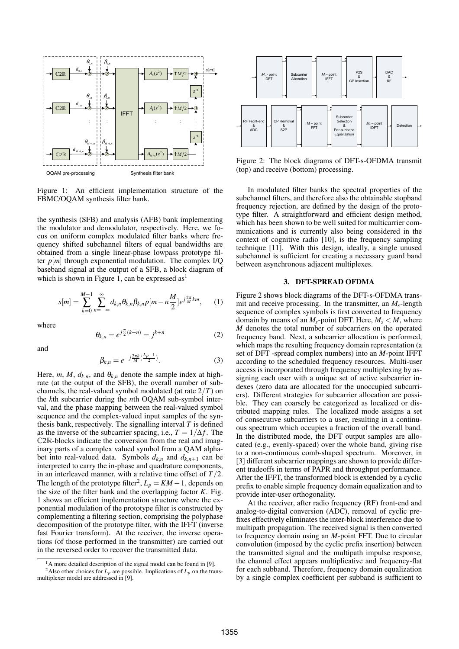

Figure 1: An efficient implementation structure of the FBMC/OQAM synthesis filter bank.

the synthesis (SFB) and analysis (AFB) bank implementing the modulator and demodulator, respectively. Here, we focus on uniform complex modulated filter banks where frequency shifted subchannel filters of equal bandwidths are obtained from a single linear-phase lowpass prototype filter  $p[m]$  through exponential modulation. The complex I/Q baseband signal at the output of a SFB, a block diagram of which is shown in Figure 1, can be expressed as<sup>1</sup>

$$
s[m] = \sum_{k=0}^{M-1} \sum_{n=-\infty}^{\infty} d_{k,n} \theta_{k,n} \beta_{k,n} p[m - n\frac{M}{2}] e^{j\frac{2\pi}{M}km}, \quad (1)
$$

where

and

$$
\theta_{k,n} = e^{j\frac{\pi}{2}(k+n)} = j^{k+n} \tag{2}
$$

$$
\beta_{k,n}=e^{-j\frac{2\pi k}{M}(\frac{L_p-1}{2})}.
$$

Here, *m*, *M*,  $d_{k,n}$ , and  $\theta_{k,n}$  denote the sample index at highrate (at the output of the SFB), the overall number of subchannels, the real-valued symbol modulated (at rate 2/*T*) on the *k*th subcarrier during the *n*th OQAM sub-symbol interval, and the phase mapping between the real-valued symbol sequence and the complex-valued input samples of the synthesis bank, respectively. The signalling interval *T* is defined as the inverse of the subcarrier spacing, i.e.,  $T = 1/\Delta f$ . The C2R-blocks indicate the conversion from the real and imaginary parts of a complex valued symbol from a QAM alphabet into real-valued data. Symbols  $d_{k,n}$  and  $d_{k,n+1}$  can be interpreted to carry the in-phase and quadrature components, in an interleaved manner, with a relative time offset of *T*/2. The length of the prototype filter<sup>2</sup>,  $L_p = KM - 1$ , depends on the size of the filter bank and the overlapping factor *K*. Fig. 1 shows an efficient implementation structure where the exponential modulation of the prototype filter is constructed by complementing a filtering section, comprising the polyphase decomposition of the prototype filter, with the IFFT (inverse fast Fourier transform). At the receiver, the inverse operations (of those performed in the transmitter) are carried out in the reversed order to recover the transmitted data.



Figure 2: The block diagrams of DFT-s-OFDMA transmit (top) and receive (bottom) processing.

In modulated filter banks the spectral properties of the subchannel filters, and therefore also the obtainable stopband frequency rejection, are defined by the design of the prototype filter. A straightforward and efficient design method, which has been shown to be well suited for multicarrier communications and is currently also being considered in the context of cognitive radio [10], is the frequency sampling technique [11]. With this design, ideally, a single unused subchannel is sufficient for creating a necessary guard band between asynchronous adjacent multiplexes.

#### 3. DFT-SPREAD OFDMA

Figure 2 shows block diagrams of the DFT-s-OFDMA transmit and receive processing. In the transmitter, an *Ms*-length sequence of complex symbols is first converted to frequency domain by means of an  $M_s$ -point DFT. Here,  $M_s < M$ , where *M* denotes the total number of subcarriers on the operated frequency band. Next, a subcarrier allocation is performed, which maps the resulting frequency domain representation (a set of DFT -spread complex numbers) into an *M*-point IFFT according to the scheduled frequency resources. Multi-user access is incorporated through frequency multiplexing by assigning each user with a unique set of active subcarrier indexes (zero data are allocated for the unoccupied subcarriers). Different strategies for subcarrier allocation are possible. They can coarsely be categorized as localized or distributed mapping rules. The localized mode assigns a set of consecutive subcarriers to a user, resulting in a continuous spectrum which occupies a fraction of the overall band. In the distributed mode, the DFT output samples are allocated (e.g., evenly-spaced) over the whole band, giving rise to a non-continuous comb-shaped spectrum. Moreover, in [3] different subcarrier mappings are shown to provide different tradeoffs in terms of PAPR and throughput performance. After the IFFT, the transformed block is extended by a cyclic prefix to enable simple frequency domain equalization and to provide inter-user orthogonality.

At the receiver, after radio frequency (RF) front-end and analog-to-digital conversion (ADC), removal of cyclic prefixes effectively eliminates the inter-block interference due to multipath propagation. The received signal is then converted to frequency domain using an *M*-point FFT. Due to circular convolution (imposed by the cyclic prefix insertion) between the transmitted signal and the multipath impulse response, the channel effect appears multiplicative and frequency-flat for each subband. Therefore, frequency domain equalization by a single complex coefficient per subband is sufficient to

. (3)

 $<sup>1</sup>A$  more detailed description of the signal model can be found in [9].</sup> <sup>2</sup>Also other choices for  $L_p$  are possible. Implications of  $L_p$  on the transmultiplexer model are addressed in [9].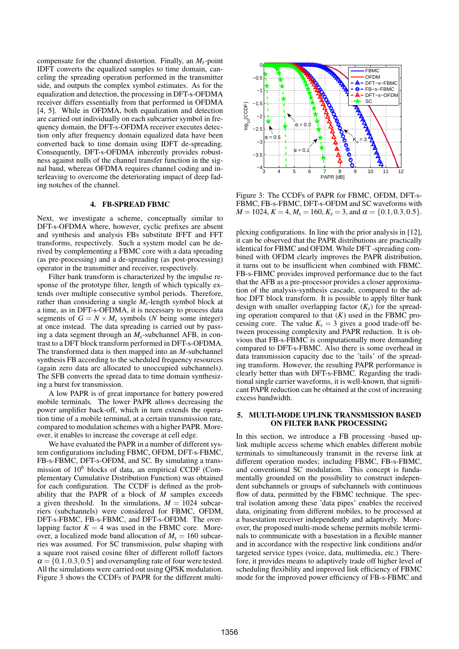compensate for the channel distortion. Finally, an *Ms*-point IDFT converts the equalized samples to time domain, canceling the spreading operation performed in the transmitter side, and outputs the complex symbol estimates. As for the equalization and detection, the processing in DFT-s-OFDMA receiver differs essentially from that performed in OFDMA [4, 5]. While in OFDMA, both equalization and detection are carried out individually on each subcarrier symbol in frequency domain, the DFT-s-OFDMA receiver executes detection only after frequency domain equalized data have been converted back to time domain using IDFT de-spreading. Consequently, DFT-s-OFDMA inherently provides robustness against nulls of the channel transfer function in the signal band, whereas OFDMA requires channel coding and interleaving to overcome the deteriorating impact of deep fading notches of the channel.

### 4. FB-SPREAD FBMC

Next, we investigate a scheme, conceptually similar to DFT-s-OFDMA where, however, cyclic prefixes are absent and synthesis and analysis FBs substitute IFFT and FFT transforms, respectively. Such a system model can be derived by complementing a FBMC core with a data spreading (as pre-processing) and a de-spreading (as post-processing) operator in the transmitter and receiver, respectively.

Filter bank transform is characterized by the impulse response of the prototype filter, length of which typically extends over multiple consecutive symbol periods. Therefore, rather than considering a single *Ms*-length symbol block at a time, as in DFT-s-OFDMA, it is necessary to process data segments of  $G = N \times M_s$  symbols (*N* being some integer) at once instead. The data spreading is carried out by passing a data segment through an *Ms*-subchannel AFB, in contrast to a DFT block transform performed in DFT-s-OFDMA. The transformed data is then mapped into an *M*-subchannel synthesis FB according to the scheduled frequency resources (again zero data are allocated to unoccupied subchannels). The SFB converts the spread data to time domain synthesizing a burst for transmission.

A low PAPR is of great importance for battery powered mobile terminals. The lower PAPR allows decreasing the power amplifier back-off, which in turn extends the operation time of a mobile terminal, at a certain transmission rate, compared to modulation schemes with a higher PAPR. Moreover, it enables to increase the coverage at cell edge.

We have evaluated the PAPR in a number of different system configurations including FBMC, OFDM, DFT-s-FBMC, FB-s-FBMC, DFT-s-OFDM, and SC. By simulating a transmission of  $10^6$  blocks of data, an empirical CCDF (Complementary Cumulative Distribution Function) was obtained for each configuration. The CCDF is defined as the probability that the PAPR of a block of *M* samples exceeds a given threshold. In the simulations,  $M = 1024$  subcarriers (subchannels) were considered for FBMC, OFDM, DFT-s-FBMC, FB-s-FBMC, and DFT-s-OFDM. The overlapping factor  $K = 4$  was used in the FBMC core. Moreover, a localized mode band allocation of  $M_s = 160$  subcarries was assumed. For SC transmission, pulse shaping with a square root raised cosine filter of different rolloff factors  $\alpha = \{0.1, 0.3, 0.5\}$  and oversampling rate of four were tested. All the simulations were carried out using QPSK modulation. Figure 3 shows the CCDFs of PAPR for the different multi-



Figure 3: The CCDFs of PAPR for FBMC, OFDM, DFT-s-FBMC, FB-s-FBMC, DFT-s-OFDM and SC waveforms with  $M = 1024, K = 4, M_s = 160, K_s = 3, \text{ and } \alpha = \{0.1, 0.3, 0.5\}.$ 

plexing configurations. In line with the prior analysis in [12], it can be observed that the PAPR distributions are practically identical for FBMC and OFDM. While DFT -spreading combined with OFDM clearly improves the PAPR distribution, it turns out to be insufficient when combined with FBMC. FB-s-FBMC provides improved performance due to the fact that the AFB as a pre-processor provides a closer approximation of the analysis-synthesis cascade, compared to the adhoc DFT block transform. It is possible to apply filter bank design with smaller overlapping factor  $(K<sub>s</sub>)$  for the spreading operation compared to that  $(K)$  used in the FBMC processing core. The value  $K_s = 3$  gives a good trade-off between processing complexity and PAPR reduction. It is obvious that FB-s-FBMC is computationally more demanding compared to DFT-s-FBMC. Also there is some overhead in data transmission capacity due to the 'tails' of the spreading transform. However, the resulting PAPR performance is clearly better than with DFT-s-FBMC. Regarding the traditional single carrier waveforms, it is well-known, that significant PAPR reduction can be obtained at the cost of increasing excess bandwidth.

### 5. MULTI-MODE UPLINK TRANSMISSION BASED ON FILTER BANK PROCESSING

In this section, we introduce a FB processing -based uplink multiple access scheme which enables different mobile terminals to simultaneously transmit in the reverse link at different operation modes; including FBMC, FB-s-FBMC, and conventional SC modulation. This concept is fundamentally grounded on the possibility to construct independent subchannels or groups of subchannels with continuous flow of data, permitted by the FBMC technique. The spectral isolation among these 'data pipes' enables the received data, originating from different mobiles, to be processed at a basestation receiver independently and adaptively. Moreover, the proposed multi-mode scheme permits mobile terminals to communicate with a basestation in a flexible manner and in accordance with the respective link conditions and/or targeted service types (voice, data, multimedia, etc.) Therefore, it provides means to adaptively trade off higher level of scheduling flexibility and improved link efficiency of FBMC mode for the improved power efficiency of FB-s-FBMC and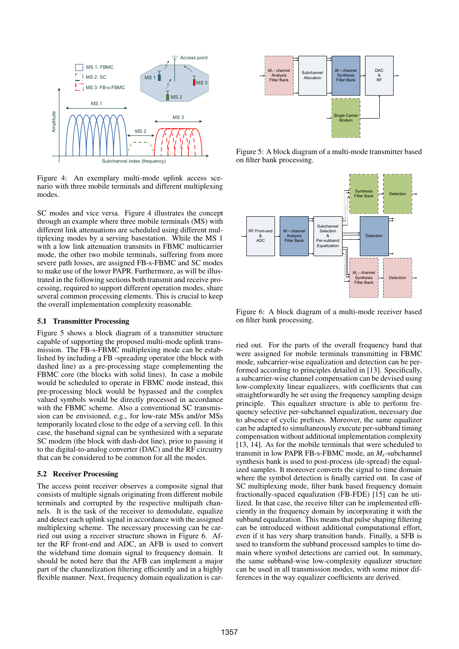

Figure 4: An exemplary multi-mode uplink access scenario with three mobile terminals and different multiplexing modes.

SC modes and vice versa. Figure 4 illustrates the concept through an example where three mobile terminals (MS) with different link attenuations are scheduled using different multiplexing modes by a serving basestation. While the MS 1 with a low link attenuation transmits in FBMC multicarrier mode, the other two mobile terminals, suffering from more severe path losses, are assigned FB-s-FBMC and SC modes to make use of the lower PAPR. Furthermore, as will be illustrated in the following sections both transmit and receive processing, required to support different operation modes, share several common processing elements. This is crucial to keep the overall implementation complexity reasonable.

### 5.1 Transmitter Processing

Figure 5 shows a block diagram of a transmitter structure capable of supporting the proposed multi-mode uplink transmission. The FB-s-FBMC multiplexing mode can be established by including a FB -spreading operator (the block with dashed line) as a pre-processing stage complementing the FBMC core (the blocks with solid lines). In case a mobile would be scheduled to operate in FBMC mode instead, this pre-processing block would be bypassed and the complex valued symbols would be directly processed in accordance with the FBMC scheme. Also a conventional SC transmission can be envisioned, e.g., for low-rate MSs and/or MSs temporarily located close to the edge of a serving cell. In this case, the baseband signal can be synthesized with a separate SC modem (the block with dash-dot line), prior to passing it to the digital-to-analog converter (DAC) and the RF circuitry that can be considered to be common for all the modes.

#### 5.2 Receiver Processing

The access point receiver observes a composite signal that consists of multiple signals originating from different mobile terminals and corrupted by the respective multipath channels. It is the task of the receiver to demodulate, equalize and detect each uplink signal in accordance with the assigned multiplexing scheme. The necessary processing can be carried out using a receiver structure shown in Figure 6. After the RF front-end and ADC, an AFB is used to convert the wideband time domain signal to frequency domain. It should be noted here that the AFB can implement a major part of the channelization filtering efficiently and in a highly flexible manner. Next, frequency domain equalization is car-



Figure 5: A block diagram of a multi-mode transmitter based on filter bank processing.



Figure 6: A block diagram of a multi-mode receiver based on filter bank processing.

ried out. For the parts of the overall frequency band that were assigned for mobile terminals transmitting in FBMC mode, subcarrier-wise equalization and detection can be performed according to principles detailed in [13]. Specifically, a subcarrier-wise channel compensation can be devised using low-complexity linear equalizers, with coefficients that can straightforwardly be set using the frequency sampling design principle. This equalizer structure is able to perform frequency selective per-subchannel equalization, necessary due to absence of cyclic prefixes. Moreover, the same equalizer can be adapted to simultaneously execute per-subband timing compensation without additional implementation complexity [13, 14]. As for the mobile terminals that were scheduled to transmit in low PAPR FB-s-FBMC mode, an *Ms*-subchannel synthesis bank is used to post-process (de-spread) the equalized samples. It moreover converts the signal to time domain where the symbol detection is finally carried out. In case of SC multiplexing mode, filter bank based frequency domain fractionally-spaced equalization (FB-FDE) [15] can be utilized. In that case, the receive filter can be implemented efficiently in the frequency domain by incorporating it with the subband equalization. This means that pulse shaping filtering can be introduced without additional computational effort, even if it has very sharp transition bands. Finally, a SFB is used to transform the subband processed samples to time domain where symbol detections are carried out. In summary, the same subband-wise low-complexity equalizer structure can be used in all transmission modes, with some minor differences in the way equalizer coefficients are derived.